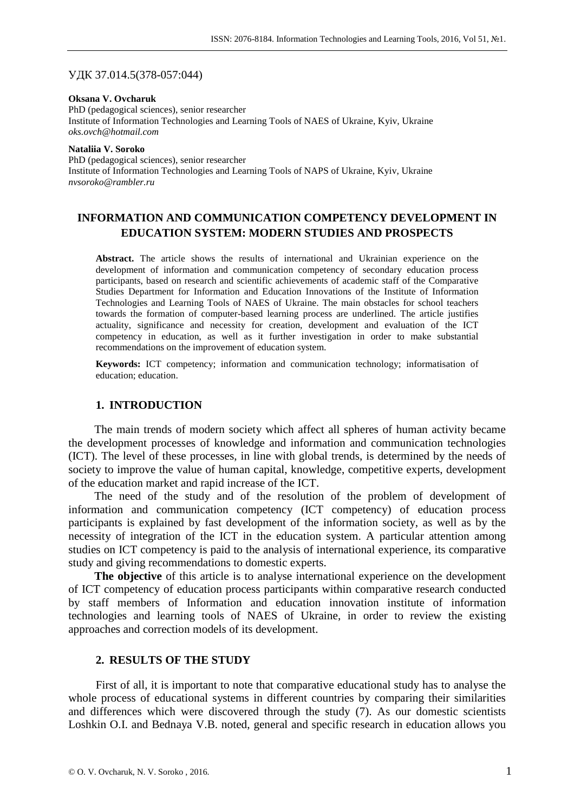### УДК 37.014.5(378-057:044)

**Oksana V. Ovcharuk**  PhD (pedagogical sciences), senior researcher Institute of Information Technologies and Learning Tools of NAES of Ukraine, Kyiv, Ukraine *oks.ovch@hotmail.com*

#### **Nataliia V. Soroko**  PhD (pedagogical sciences), senior researcher Institute of Information Technologies and Learning Tools of NAPS of Ukraine, Kyiv, Ukraine *nvsoroko@rambler.ru*

## **INFORMATION AND COMMUNICATION COMPETENCY DEVELOPMENT IN EDUCATION SYSTEM: MODERN STUDIES AND PROSPECTS**

**Abstract.** The article shows the results of international and Ukrainian experience on the development of information and communication competency of secondary education process participants, based on research and scientific achievements of academic staff of the Comparative Studies Department for Information and Education Innovations of the Institute of Information Technologies and Learning Tools of NAES of Ukraine. The main obstacles for school teachers towards the formation of computer-based learning process are underlined. The article justifies actuality, significance and necessity for creation, development and evaluation of the ICT competency in education, as well as it further investigation in order to make substantial recommendations on the improvement of education system.

**Keywords:** ICT competency; information and communication technology; informatisation of education; education.

## **1. INTRODUCTION**

The main trends of modern society which affect all spheres of human activity became the development processes of knowledge and information and communication technologies (ICT). The level of these processes, in line with global trends, is determined by the needs of society to improve the value of human capital, knowledge, competitive experts, development of the education market and rapid increase of the ICT.

The need of the study and of the resolution of the problem of development of information and communication competency (ICT competency) of education process participants is explained by fast development of the information society, as well as by the necessity of integration of the ICT in the education system. A particular attention among studies on ICT competency is paid to the analysis of international experience, its comparative study and giving recommendations to domestic experts.

**The objective** of this article is to analyse international experience on the development of ICT competency of education process participants within comparative research conducted by staff members of Information and education innovation institute of information technologies and learning tools of NAES of Ukraine, in order to review the existing approaches and correction models of its development.

## **2. RESULTS OF THE STUDY**

First of all, it is important to note that comparative educational study has to analyse the whole process of educational systems in different countries by comparing their similarities and differences which were discovered through the study (7). As our domestic scientists Loshkin O.I. and Bednaya V.B. noted, general and specific research in education allows you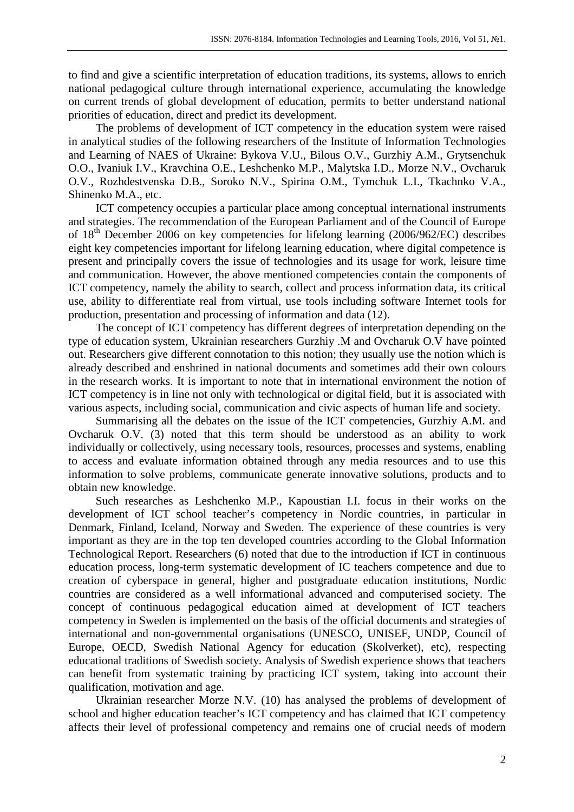to find and give a scientific interpretation of education traditions, its systems, allows to enrich national pedagogical culture through international experience, accumulating the knowledge on current trends of global development of education, permits to better understand national priorities of education, direct and predict its development.

The problems of development of ICT competency in the education system were raised in analytical studies of the following researchers of the Institute of Information Technologies and Learning of NAES of Ukraine: Bykova V.U., Bilous O.V., Gurzhiy A.M., Grytsenchuk O.O., Ivaniuk I.V., Kravchina O.E., Leshchenko M.P., Malytska I.D., Morze N.V., Ovcharuk O.V., Rozhdestvenska D.B., Soroko N.V., Spirina O.M., Tymchuk L.I., Tkachnko V.A., Shinenko M.A., etc.

ICT competency occupies a particular place among conceptual international instruments and strategies. The recommendation of the European Parliament and of the Council of Europe of 18<sup>th</sup> December 2006 on key competencies for lifelong learning (2006/962/EC) describes eight key competencies important for lifelong learning education, where digital competence is present and principally covers the issue of technologies and its usage for work, leisure time and communication. However, the above mentioned competencies contain the components of ICT competency, namely the ability to search, collect and process information data, its critical use, ability to differentiate real from virtual, use tools including software Internet tools for production, presentation and processing of information and data (12).

The concept of ICT competency has different degrees of interpretation depending on the type of education system, Ukrainian researchers Gurzhiy .M and Ovcharuk O.V have pointed out. Researchers give different connotation to this notion; they usually use the notion which is already described and enshrined in national documents and sometimes add their own colours in the research works. It is important to note that in international environment the notion of ICT competency is in line not only with technological or digital field, but it is associated with various aspects, including social, communication and civic aspects of human life and society.

Summarising all the debates on the issue of the ICT competencies, Gurzhiy A.M. and Ovcharuk O.V. (3) noted that this term should be understood as an ability to work individually or collectively, using necessary tools, resources, processes and systems, enabling to access and evaluate information obtained through any media resources and to use this information to solve problems, communicate generate innovative solutions, products and to obtain new knowledge.

Such researches as Leshchenko M.P., Kapoustian I.I. focus in their works on the development of ICT school teacher's competency in Nordic countries, in particular in Denmark, Finland, Iceland, Norway and Sweden. The experience of these countries is very important as they are in the top ten developed countries according to the Global Information Technological Report. Researchers (6) noted that due to the introduction if ICT in continuous education process, long-term systematic development of IC teachers competence and due to creation of cyberspace in general, higher and postgraduate education institutions, Nordic countries are considered as a well informational advanced and computerised society. The concept of continuous pedagogical education aimed at development of ICT teachers competency in Sweden is implemented on the basis of the official documents and strategies of international and non-governmental organisations (UNESCO, UNISEF, UNDP, Council of Europe, OECD, Swedish National Agency for education (Skolverket), etc), respecting educational traditions of Swedish society. Analysis of Swedish experience shows that teachers can benefit from systematic training by practicing ICT system, taking into account their qualification, motivation and age.

Ukrainian researcher Morze N.V. (10) has analysed the problems of development of school and higher education teacher's ICT competency and has claimed that ICT competency affects their level of professional competency and remains one of crucial needs of modern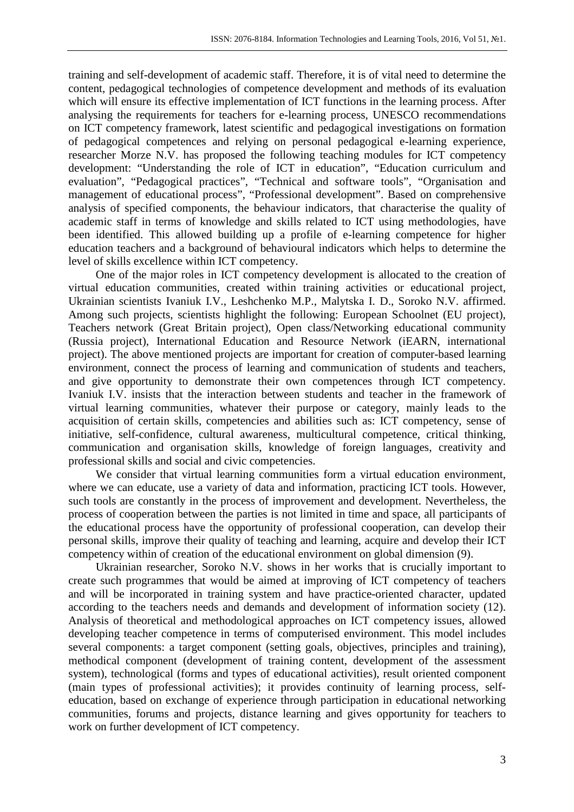training and self-development of academic staff. Therefore, it is of vital need to determine the content, pedagogical technologies of competence development and methods of its evaluation which will ensure its effective implementation of ICT functions in the learning process. After analysing the requirements for teachers for e-learning process, UNESCO recommendations on ICT competency framework, latest scientific and pedagogical investigations on formation of pedagogical competences and relying on personal pedagogical e-learning experience, researcher Morze N.V. has proposed the following teaching modules for ICT competency development: "Understanding the role of ICT in education", "Education curriculum and evaluation", "Pedagogical practices", "Technical and software tools", "Organisation and management of educational process", "Professional development". Based on comprehensive analysis of specified components, the behaviour indicators, that characterise the quality of academic staff in terms of knowledge and skills related to ICT using methodologies, have been identified. This allowed building up a profile of e-learning competence for higher education teachers and a background of behavioural indicators which helps to determine the level of skills excellence within ICT competency.

One of the major roles in ICT competency development is allocated to the creation of virtual education communities, created within training activities or educational project, Ukrainian scientists Ivaniuk I.V., Leshchenko M.P., Malytska I. D., Soroko N.V. affirmed. Among such projects, scientists highlight the following: European Schoolnet (EU project), Teachers network (Great Britain project), Open class/Networking educational community (Russia project), International Education and Resource Network (iEARN, international project). The above mentioned projects are important for creation of computer-based learning environment, connect the process of learning and communication of students and teachers, and give opportunity to demonstrate their own competences through ICT competency. Ivaniuk I.V. insists that the interaction between students and teacher in the framework of virtual learning communities, whatever their purpose or category, mainly leads to the acquisition of certain skills, competencies and abilities such as: ICT competency, sense of initiative, self-confidence, cultural awareness, multicultural competence, critical thinking, communication and organisation skills, knowledge of foreign languages, creativity and professional skills and social and civic competencies.

We consider that virtual learning communities form a virtual education environment, where we can educate, use a variety of data and information, practicing ICT tools. However, such tools are constantly in the process of improvement and development. Nevertheless, the process of cooperation between the parties is not limited in time and space, all participants of the educational process have the opportunity of professional cooperation, can develop their personal skills, improve their quality of teaching and learning, acquire and develop their ICT competency within of creation of the educational environment on global dimension (9).

Ukrainian researcher, Soroko N.V. shows in her works that is crucially important to create such programmes that would be aimed at improving of ICT competency of teachers and will be incorporated in training system and have practice-oriented character, updated according to the teachers needs and demands and development of information society (12). Analysis of theoretical and methodological approaches on ICT competency issues, allowed developing teacher competence in terms of computerised environment. This model includes several components: a target component (setting goals, objectives, principles and training), methodical component (development of training content, development of the assessment system), technological (forms and types of educational activities), result oriented component (main types of professional activities); it provides continuity of learning process, selfeducation, based on exchange of experience through participation in educational networking communities, forums and projects, distance learning and gives opportunity for teachers to work on further development of ICT competency.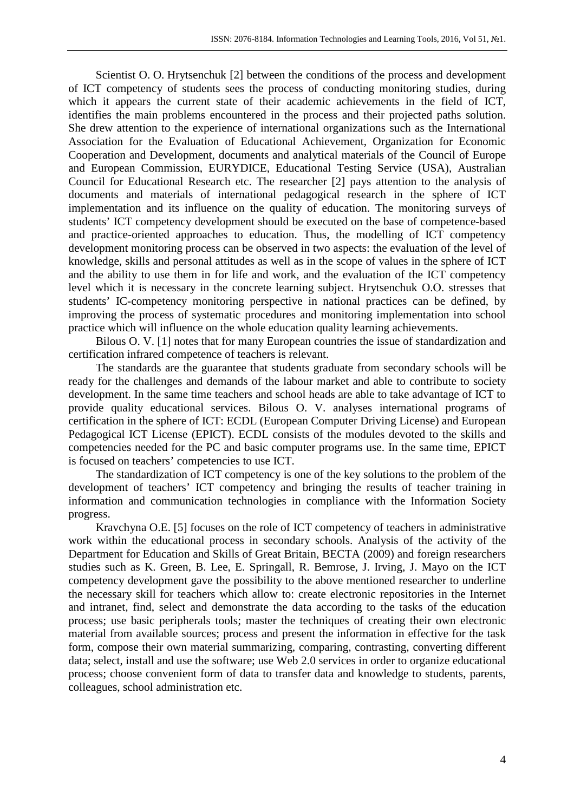Scientist O. O. Hrytsenchuk [2] between the conditions of the process and development of ICT competency of students sees the process of conducting monitoring studies, during which it appears the current state of their academic achievements in the field of ICT, identifies the main problems encountered in the process and their projected paths solution. She drew attention to the experience of international organizations such as the International Association for the Evaluation of Educational Achievement, Organization for Economic Cooperation and Development, documents and analytical materials of the Council of Europe and European Commission, EURYDICE, Educational Testing Service (USA), Australian Council for Educational Research etc. The researcher [2] pays attention to the analysis of documents and materials of international pedagogical research in the sphere of ICT implementation and its influence on the quality of education. The monitoring surveys of students' ICT competency development should be executed on the base of competence-based and practice-oriented approaches to education. Thus, the modelling of ICT competency development monitoring process can be observed in two aspects: the evaluation of the level of knowledge, skills and personal attitudes as well as in the scope of values in the sphere of ICT and the ability to use them in for life and work, and the evaluation of the ICT competency level which it is necessary in the concrete learning subject. Hrytsenchuk O.О. stresses that students' IC-competency monitoring perspective in national practices can be defined, by improving the process of systematic procedures and monitoring implementation into school practice which will influence on the whole education quality learning achievements.

Bilous O. V. [1] notes that for many European countries the issue of standardization and certification infrared competence of teachers is relevant.

The standards are the guarantee that students graduate from secondary schools will be ready for the challenges and demands of the labour market and able to contribute to society development. In the same time teachers and school heads are able to take advantage of ICT to provide quality educational services. Bilous O. V. analyses international programs of certification in the sphere of ICT: ECDL (European Computer Driving License) and European Pedagogical ICT License (EPICT). ECDL consists of the modules devoted to the skills and competencies needed for the PC and basic computer programs use. In the same time, EPICT is focused on teachers' competencies to use ICT.

The standardization of ICT competency is one of the key solutions to the problem of the development of teachers' ICT competency and bringing the results of teacher training in information and communication technologies in compliance with the Information Society progress.

Kravchyna O.E. [5] focuses on the role of ICT competency of teachers in administrative work within the educational process in secondary schools. Analysis of the activity of the Department for Education and Skills of Great Britain, BECTA (2009) and foreign researchers studies such as K. Green, B. Lee, E. Springall, R. Bemrose, J. Irving, J. Mayo on the ICT competency development gave the possibility to the above mentioned researcher to underline the necessary skill for teachers which allow to: create electronic repositories in the Internet and intranet, find, select and demonstrate the data according to the tasks of the education process; use basic peripherals tools; master the techniques of creating their own electronic material from available sources; process and present the information in effective for the task form, compose their own material summarizing, comparing, contrasting, converting different data; select, install and use the software; use Web 2.0 services in order to organize educational process; choose convenient form of data to transfer data and knowledge to students, parents, colleagues, school administration etc.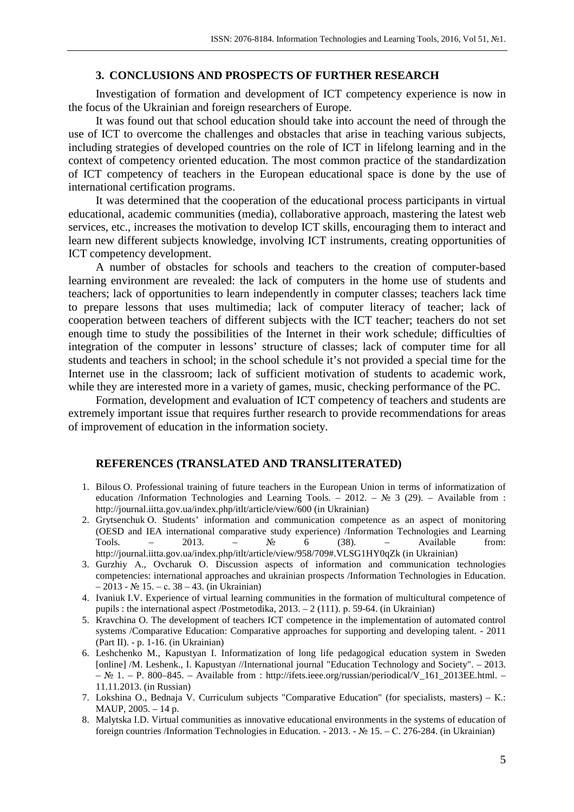## **3. CONCLUSIONS AND PROSPECTS OF FURTHER RESEARCH**

Investigation of formation and development of ICT competency experience is now in the focus of the Ukrainian and foreign researchers of Europe.

It was found out that school education should take into account the need of through the use of ICT to overcome the challenges and obstacles that arise in teaching various subjects, including strategies of developed countries on the role of ICT in lifelong learning and in the context of competency oriented education. The most common practice of the standardization of ICT competency of teachers in the European educational space is done by the use of international certification programs.

It was determined that the cooperation of the educational process participants in virtual educational, academic communities (media), collaborative approach, mastering the latest web services, etc., increases the motivation to develop ICT skills, encouraging them to interact and learn new different subjects knowledge, involving ICT instruments, creating opportunities of ICT competency development.

A number of obstacles for schools and teachers to the creation of computer-based learning environment are revealed: the lack of computers in the home use of students and teachers; lack of opportunities to learn independently in computer classes; teachers lack time to prepare lessons that uses multimedia; lack of computer literacy of teacher; lack of cooperation between teachers of different subjects with the ICT teacher; teachers do not set enough time to study the possibilities of the Internet in their work schedule; difficulties of integration of the computer in lessons' structure of classes; lack of computer time for all students and teachers in school; in the school schedule it's not provided a special time for the Internet use in the classroom; lack of sufficient motivation of students to academic work, while they are interested more in a variety of games, music, checking performance of the PC.

Formation, development and evaluation of ICT competency of teachers and students are extremely important issue that requires further research to provide recommendations for areas of improvement of education in the information society.

## **REFERENCES (TRANSLATED AND TRANSLITERATED)**

- 1. Bilous O. Professional training of future teachers in the European Union in terms of informatization of education /Information Technologies and Learning Tools. – 2012. –  $\mathbb{N}^2$  3 (29). – Available from : http://journal.iitta.gov.ua/index.php/itlt/article/view/600 (in Ukrainian)
- 2. Grytsenchuk О. Students' information and communication competence as an aspect of monitoring (OESD and IEA international comparative study experience) /Information Technologies and Learning Tools. – 2013. –  $N_2$  6 (38). – Available from: http://journal.iitta.gov.ua/index.php/itlt/article/view/958/709#.VLSG1HY0qZk (in Ukrainian)
- 3. Gurzhiy А., Ovcharuk O. Discussion aspects of information and communication technologies competencies: international approaches and ukrainian prospеcts /Information Technologies in Education. – 2013 - № 15. – с. 38 – 43. (in Ukrainian)
- 4. Ivaniuk I.V. Experience of virtual learning communities in the formation of multicultural competence of pupils : the international aspect /Postmetodika, 2013. – 2 (111). р. 59-64. (in Ukrainian)
- 5. Kravchina O. The development of teachers ICT competence in the implementation of automated control systems /Comparative Education: Comparative approaches for supporting and developing talent. - 2011 (Part ІІ). - p. 1-16. (in Ukrainian)
- 6. Leshchenko M., Kapustyan I. Informatization of long life pedagogical education system in Sweden [online] /M. Leshenk., I. Kapustyan //International journal "Education Technology and Society". – 2013.  $-$  № 1. – P. 800–845. – Available from : http://ifets.ieee.org/russian/periodical/V\_161\_2013EE.html. – 11.11.2013. (in Russian)
- 7. Lokshina O., Bednaja V. Curriculum subjects "Comparative Education" (for specialists, masters) К.: МАUP, 2005. – 14 p.
- 8. Malytska I.D. Virtual communities as innovative educational environments in the systems of education of foreign countries /Information Technologies in Education. - 2013. - № 15. – С. 276-284. (in Ukrainian)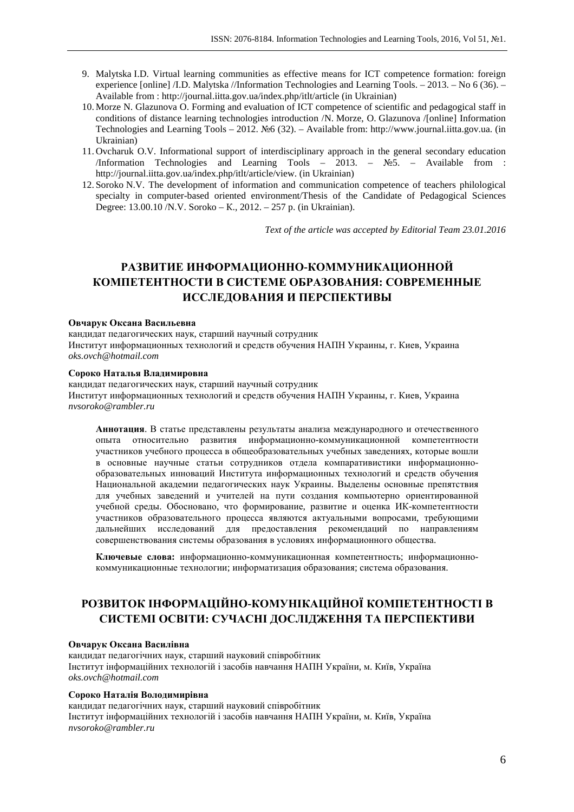- 9. Malytska I.D. Virtual learning communities as effective means for ICT competence formation: foreign experience [online] /І.D. Malytska //Іnformation Technologies and Learning Tools. – 2013. – No 6 (36). – Available from : http://journal.iitta.gov.ua/index.php/itlt/article (in Ukrainian)
- 10. Morze N. Glazunova O. Forming and evaluation of ICT competence of scientific and pedagogical staff in conditions of distance learning technologies introduction /N. Morze, O. Glazunova /[online] Information Technologies and Learning Tools – 2012. №6 (32). – Available from: http://www.journal.iitta.gov.ua. (in Ukrainian)
- 11. Ovcharuk O.V. Informational support of interdisciplinary approach in the general secondary education /Information Technologies and Learning Tools – 2013. – №5. – Available from : http://journal.iitta.gov.ua/index.php/itlt/article/view. (in Ukrainian)
- 12. Soroko N.V. The development of information and communication competence of teachers philological specialty in computer-based oriented environment/Thesis of the Candidate of Pedagogical Sciences Degree: 13.00.10 /N.V. Soroko – К., 2012. – 257 p. (in Ukrainian).

*Text of the article was accepted by Editorial Team 23.01.2016* 

# **РАЗВИТИЕ ИНФОРМАЦИОННО-КОММУНИКАЦИОННОЙ КОМПЕТЕНТНОСТИ В СИСТЕМЕ ОБРАЗОВАНИЯ: СОВРЕМЕННЫЕ ИССЛЕДОВАНИЯ И ПЕРСПЕКТИВЫ**

#### **Овчарук Оксана Васильевна**

кандидат педагогических наук, старший научный сотрудник Институт информационных технологий и средств обучения НАПН Украины, г. Киев, Украина *oks.ovch@hotmail.com* 

#### **Сороко Наталья Владимировна**

кандидат педагогических наук, старший научный сотрудник Институт информационных технологий и средств обучения НАПН Украины, г. Киев, Украина *nvsoroko@rambler.ru* 

**Аннотация**. В статье представлены результаты анализа международного и отечественного опыта относительно развития информационно-коммуникационной компетентности участников учебного процесса в общеобразовательных учебных заведениях, которые вошли в основные научные статьи сотрудников отдела компаративистики информационнообразовательных инноваций Института информационных технологий и средств обучения Национальной академии педагогических наук Украины. Выделены основные препятствия для учебных заведений и учителей на пути создания компьютерно ориентированной учебной среды. Обосновано, что формирование, развитие и оценка ИК-компетентности участников образовательного процесса являются актуальными вопросами, требующими дальнейших исследований для предоставления рекомендаций по направлениям совершенствования системы образования в условиях информационного общества.

**Ключевые слова:** информационно-коммуникационная компетентность; информационнокоммуникационные технологии; информатизация образования; система образования.

# **РОЗВИТОК ІНФОРМАЦІЙНО-КОМУНІКАЦІЙНОЇ КОМПЕТЕНТНОСТІ В СИСТЕМІ ОСВІТИ: СУЧАСНІ ДОСЛІДЖЕННЯ ТА ПЕРСПЕКТИВИ**

#### **Овчарук Оксана Василівна**

кандидат педагогічних наук, старший науковий співробітник Інститут інформаційних технологій і засобів навчання НАПН України, м. Київ, Україна *oks.ovch@hotmail.com* 

### **Сороко Наталія Володимирівна**

кандидат педагогічних наук, старший науковий співробітник Інститут інформаційних технологій і засобів навчання НАПН України, м. Київ, Україна *nvsoroko@rambler.ru*